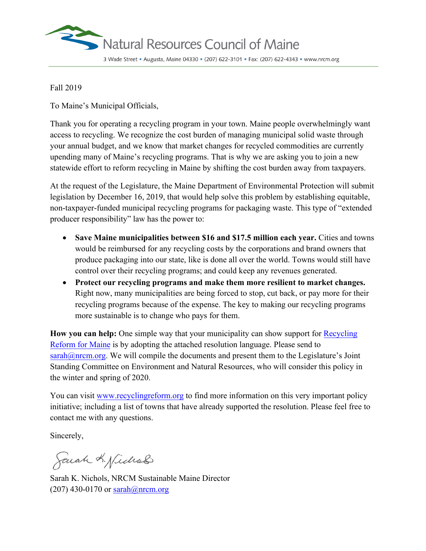

## Fall 2019

To Maine's Municipal Officials,

Thank you for operating a recycling program in your town. Maine people overwhelmingly want access to recycling. We recognize the cost burden of managing municipal solid waste through your annual budget, and we know that market changes for recycled commodities are currently upending many of Maine's recycling programs. That is why we are asking you to join a new statewide effort to reform recycling in Maine by shifting the cost burden away from taxpayers.

At the request of the Legislature, the Maine Department of Environmental Protection will submit legislation by December 16, 2019, that would help solve this problem by establishing equitable, non-taxpayer-funded municipal recycling programs for packaging waste. This type of "extended producer responsibility" law has the power to:

- **Save Maine municipalities between \$16 and \$17.5 million each year.** Cities and towns would be reimbursed for any recycling costs by the corporations and brand owners that produce packaging into our state, like is done all over the world. Towns would still have control over their recycling programs; and could keep any revenues generated.
- **Protect our recycling programs and make them more resilient to market changes.** Right now, many municipalities are being forced to stop, cut back, or pay more for their recycling programs because of the expense. The key to making our recycling programs more sustainable is to change who pays for them.

**How you can help:** One simple way that your municipality can show support for [Recycling](https://www.nrcm.org/projects/sustainability/recycling-waste-management/recycling-reform-maine/) [Reform for Maine](https://www.nrcm.org/projects/sustainability/recycling-waste-management/recycling-reform-maine/) is by adopting the attached resolution language. Please send to [sarah@nrcm.org.](mailto:sarah@nrcm.org) We will compile the documents and present them to the Legislature's Joint Standing Committee on Environment and Natural Resources, who will consider this policy in the winter and spring of 2020.

You can visit [www.recyclingreform.org](http://www.recyclingreform.org/) to find more information on this very important policy initiative; including a list of towns that have already supported the resolution. Please feel free to contact me with any questions.

Sincerely,

Sarah K. Nichols

Sarah K. Nichols, NRCM Sustainable Maine Director  $(207)$  430-0170 or  $\frac{\text{sarah}(Q)$ nrcm.org